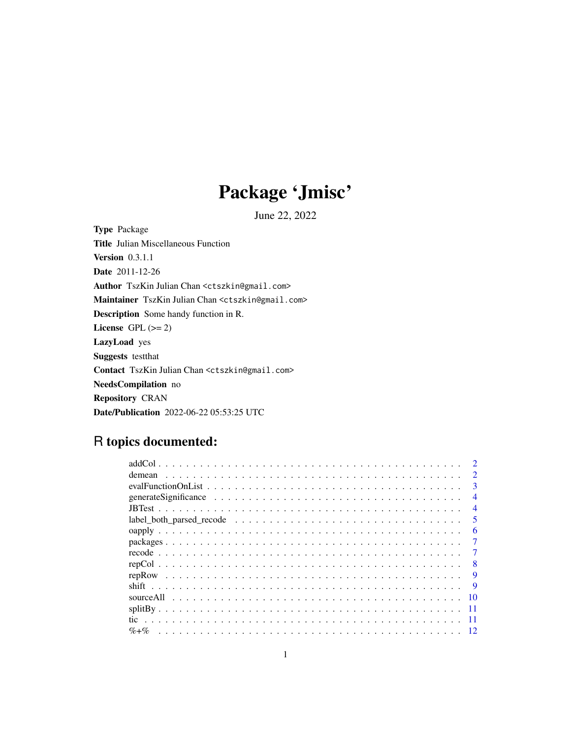## Package 'Jmisc'

June 22, 2022

<span id="page-0-0"></span>Type Package Title Julian Miscellaneous Function Version 0.3.1.1 Date 2011-12-26 Author TszKin Julian Chan <ctszkin@gmail.com> Maintainer TszKin Julian Chan <ctszkin@gmail.com> Description Some handy function in R. License GPL  $(>= 2)$ LazyLoad yes Suggests testthat Contact TszKin Julian Chan <ctszkin@gmail.com> NeedsCompilation no Repository CRAN Date/Publication 2022-06-22 05:53:25 UTC

### R topics documented:

|                 | $\mathcal{D}$               |
|-----------------|-----------------------------|
| demean          | $\mathcal{D}_{\mathcal{L}}$ |
|                 | 3                           |
|                 | 4                           |
|                 | $\overline{4}$              |
|                 | 5                           |
|                 | 6                           |
|                 |                             |
|                 |                             |
|                 | 8                           |
|                 | 9                           |
|                 |                             |
| sourceAll<br>10 |                             |
|                 |                             |
|                 |                             |
| $\% +\%$        |                             |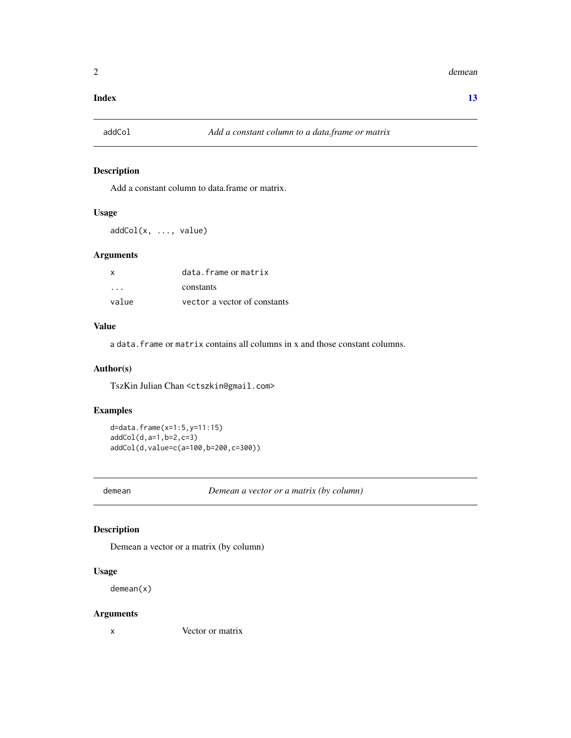#### <span id="page-1-0"></span>**Index** [13](#page-12-0)

#### Description

Add a constant column to data.frame or matrix.

#### Usage

addCol(x, ..., value)

#### Arguments

| X       | data.frame or matrix         |
|---------|------------------------------|
| $\cdot$ | constants                    |
| value   | vector a vector of constants |

#### Value

a data.frame or matrix contains all columns in x and those constant columns.

#### Author(s)

TszKin Julian Chan <ctszkin@gmail.com>

#### Examples

```
d=data.frame(x=1:5,y=11:15)
addCol(d,a=1,b=2,c=3)
addCol(d,value=c(a=100,b=200,c=300))
```
demean *Demean a vector or a matrix (by column)*

#### Description

Demean a vector or a matrix (by column)

#### Usage

demean(x)

#### Arguments

x Vector or matrix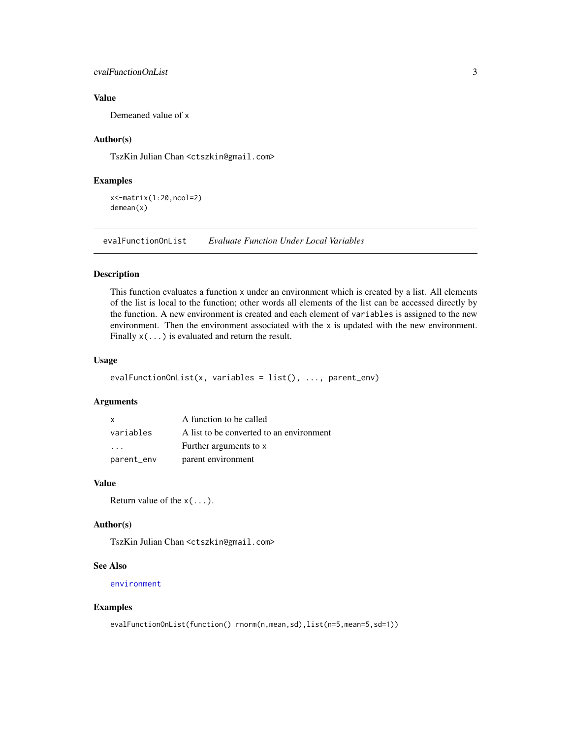#### <span id="page-2-0"></span>evalFunctionOnList 3

#### Value

Demeaned value of x

#### Author(s)

TszKin Julian Chan <ctszkin@gmail.com>

#### Examples

x<-matrix(1:20,ncol=2) demean(x)

evalFunctionOnList *Evaluate Function Under Local Variables*

#### Description

This function evaluates a function x under an environment which is created by a list. All elements of the list is local to the function; other words all elements of the list can be accessed directly by the function. A new environment is created and each element of variables is assigned to the new environment. Then the environment associated with the  $x$  is updated with the new environment. Finally  $x(\ldots)$  is evaluated and return the result.

#### Usage

```
evalFunctionOnList(x, variables = list(), ..., parent_env)
```
#### Arguments

| $\mathbf{x}$            | A function to be called                  |
|-------------------------|------------------------------------------|
| variables               | A list to be converted to an environment |
| $\cdot$ $\cdot$ $\cdot$ | Further arguments to x                   |
| parent_env              | parent environment                       |

#### Value

Return value of the  $x(\ldots)$ .

#### Author(s)

TszKin Julian Chan <ctszkin@gmail.com>

#### See Also

[environment](#page-0-0)

#### Examples

```
evalFunctionOnList(function() rnorm(n,mean,sd),list(n=5,mean=5,sd=1))
```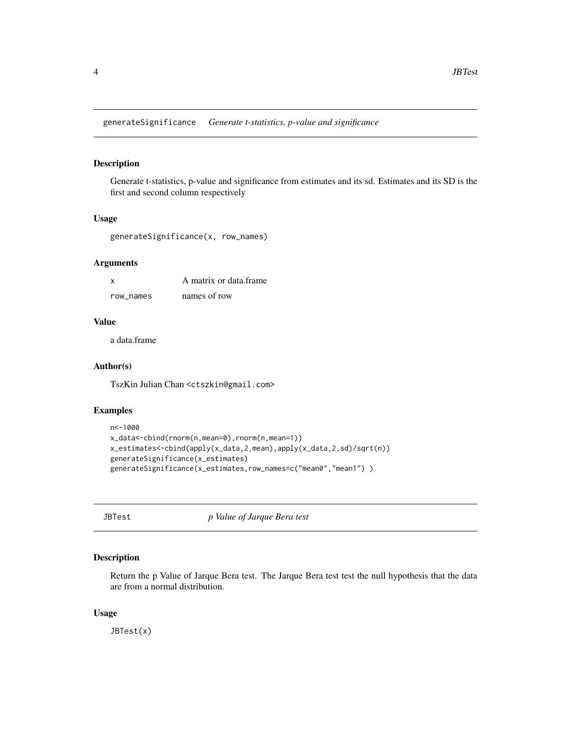<span id="page-3-0"></span>generateSignificance *Generate t-statistics, p-value and significance*

#### Description

Generate t-statistics, p-value and significance from estimates and its sd. Estimates and its SD is the first and second column respectively

#### Usage

generateSignificance(x, row\_names)

#### Arguments

| $\mathsf{x}$ | A matrix or data frame |
|--------------|------------------------|
| row names    | names of row           |

#### Value

a data.frame

#### Author(s)

TszKin Julian Chan <ctszkin@gmail.com>

#### Examples

```
n<-1000
x_data<-cbind(rnorm(n,mean=0),rnorm(n,mean=1))
x_estimates<-cbind(apply(x_data,2,mean),apply(x_data,2,sd)/sqrt(n))
generateSignificance(x_estimates)
generateSignificance(x_estimates,row_names=c("mean0","mean1") )
```
JBTest *p Value of Jarque Bera test*

#### Description

Return the p Value of Jarque Bera test. The Jarque Bera test test the null hypothesis that the data are from a normal distribution.

#### Usage

JBTest(x)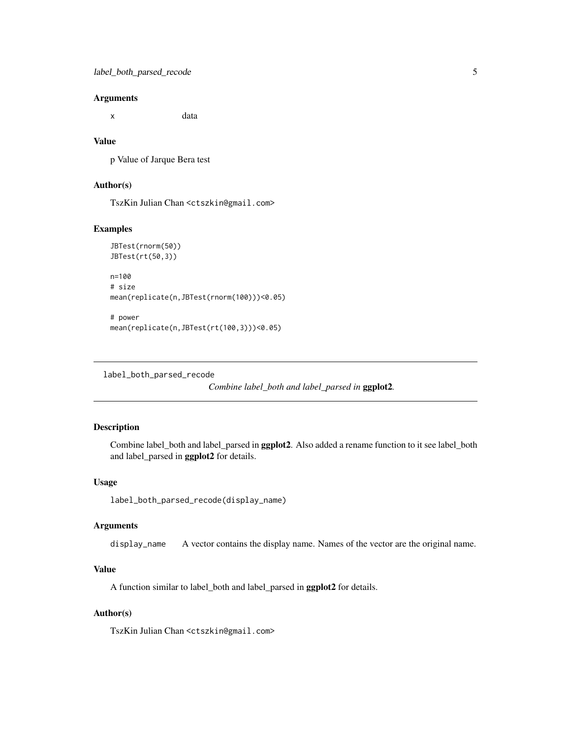#### <span id="page-4-0"></span>**Arguments**

x data

#### Value

p Value of Jarque Bera test

#### Author(s)

TszKin Julian Chan <ctszkin@gmail.com>

#### Examples

```
JBTest(rnorm(50))
JBTest(rt(50,3))
```

```
n=100
# size
mean(replicate(n,JBTest(rnorm(100)))<0.05)
```

```
# power
mean(replicate(n,JBTest(rt(100,3)))<0.05)
```
label\_both\_parsed\_recode

*Combine label\_both and label\_parsed in* ggplot2*.*

#### Description

Combine label\_both and label\_parsed in ggplot2. Also added a rename function to it see label\_both and label\_parsed in ggplot2 for details.

#### Usage

```
label_both_parsed_recode(display_name)
```
#### Arguments

display\_name A vector contains the display name. Names of the vector are the original name.

#### Value

A function similar to label\_both and label\_parsed in ggplot2 for details.

#### Author(s)

TszKin Julian Chan <ctszkin@gmail.com>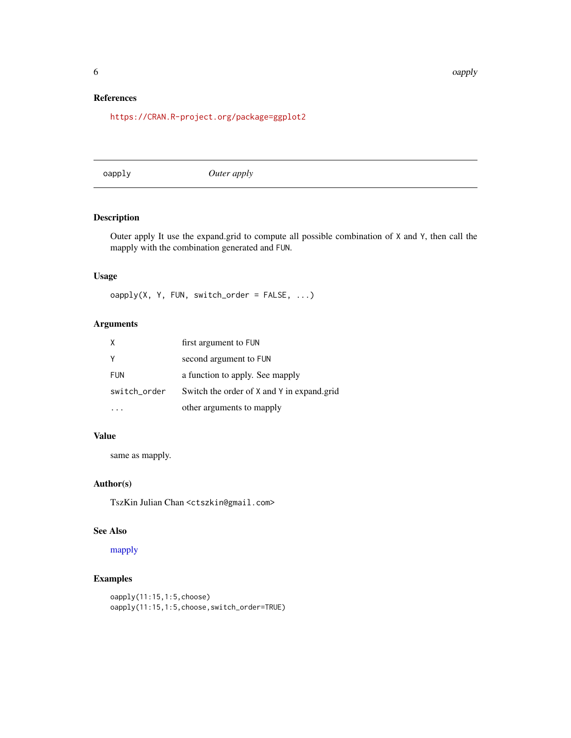#### <span id="page-5-0"></span>References

<https://CRAN.R-project.org/package=ggplot2>

oapply *Outer apply*

#### Description

Outer apply It use the expand.grid to compute all possible combination of X and Y, then call the mapply with the combination generated and FUN.

#### Usage

oapply(X, Y, FUN, switch\_order = FALSE, ...)

#### Arguments

|              | first argument to FUN                      |
|--------------|--------------------------------------------|
|              | second argument to FUN                     |
| <b>FUN</b>   | a function to apply. See mapply            |
| switch_order | Switch the order of X and Y in expand.grid |
|              | other arguments to mapply                  |

#### Value

same as mapply.

#### Author(s)

TszKin Julian Chan <ctszkin@gmail.com>

#### See Also

[mapply](#page-0-0)

#### Examples

```
oapply(11:15,1:5,choose)
oapply(11:15,1:5,choose,switch_order=TRUE)
```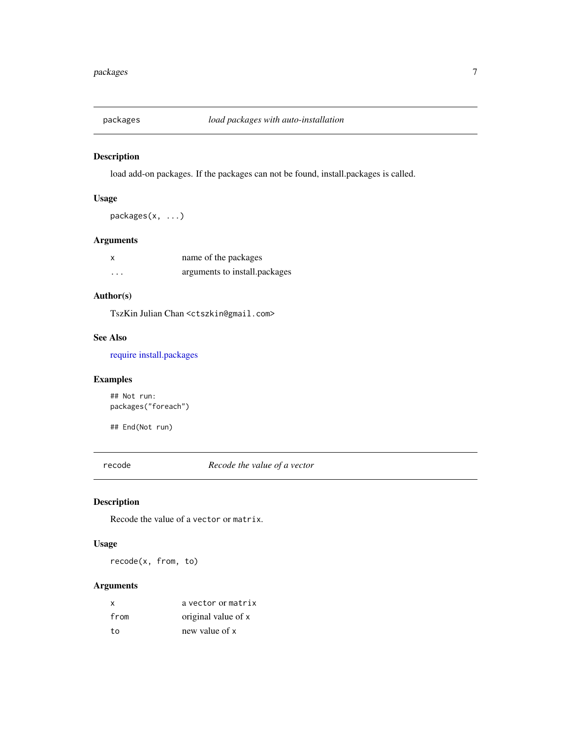<span id="page-6-0"></span>

#### Description

load add-on packages. If the packages can not be found, install.packages is called.

#### Usage

packages(x, ...)

#### Arguments

| X        | name of the packages          |
|----------|-------------------------------|
| $\cdots$ | arguments to install.packages |

#### Author(s)

TszKin Julian Chan <ctszkin@gmail.com>

#### See Also

[require](#page-0-0) [install.packages](#page-0-0)

#### Examples

## Not run: packages("foreach")

## End(Not run)

recode *Recode the value of a vector*

#### Description

Recode the value of a vector or matrix.

#### Usage

recode(x, from, to)

#### Arguments

| X    | a vector or matrix  |
|------|---------------------|
| from | original value of x |
| to   | new value of x      |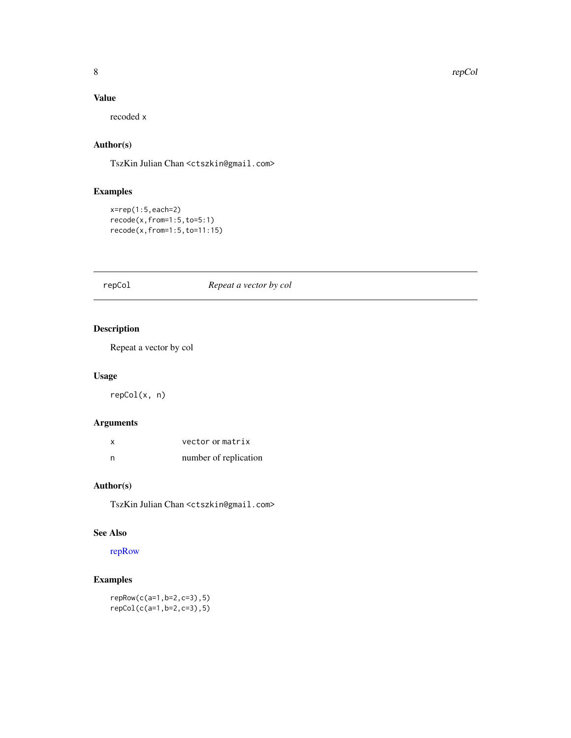#### <span id="page-7-0"></span>Value

recoded x

#### Author(s)

TszKin Julian Chan <ctszkin@gmail.com>

#### Examples

```
x=rep(1:5,each=2)
recode(x,from=1:5,to=5:1)
recode(x,from=1:5,to=11:15)
```
#### <span id="page-7-1"></span>repCol *Repeat a vector by col*

#### Description

Repeat a vector by col

#### Usage

repCol(x, n)

#### Arguments

| x | vector or matrix      |
|---|-----------------------|
| n | number of replication |

#### Author(s)

TszKin Julian Chan <ctszkin@gmail.com>

#### See Also

[repRow](#page-8-1)

### Examples

repRow(c(a=1,b=2,c=3),5) repCol(c(a=1,b=2,c=3),5)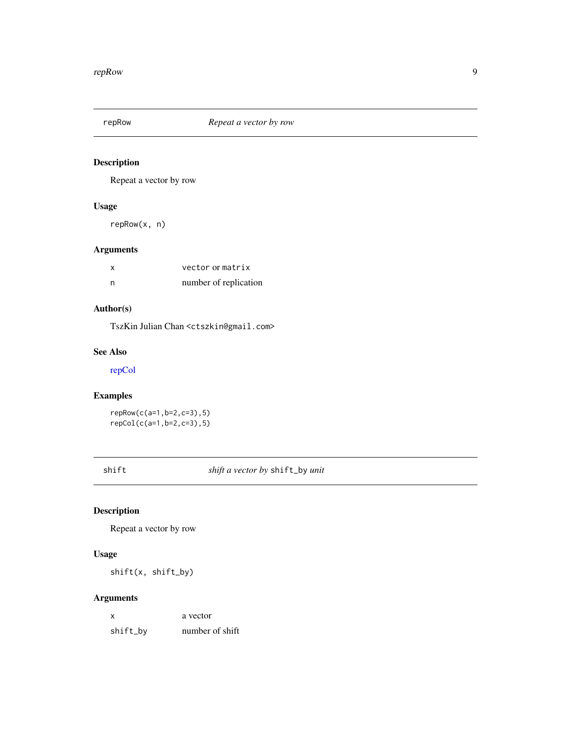<span id="page-8-1"></span><span id="page-8-0"></span>

#### Description

Repeat a vector by row

#### Usage

repRow(x, n)

#### Arguments

|     | vector or matrix      |
|-----|-----------------------|
| - n | number of replication |

#### Author(s)

TszKin Julian Chan <ctszkin@gmail.com>

#### See Also

[repCol](#page-7-1)

#### Examples

```
repRow(c(a=1,b=2,c=3),5)
repCol(c(a=1,b=2,c=3),5)
```
shift *shift a vector by* shift\_by *unit*

#### Description

Repeat a vector by row

#### Usage

shift(x, shift\_by)

#### Arguments

| X        | a vector        |
|----------|-----------------|
| shift_by | number of shift |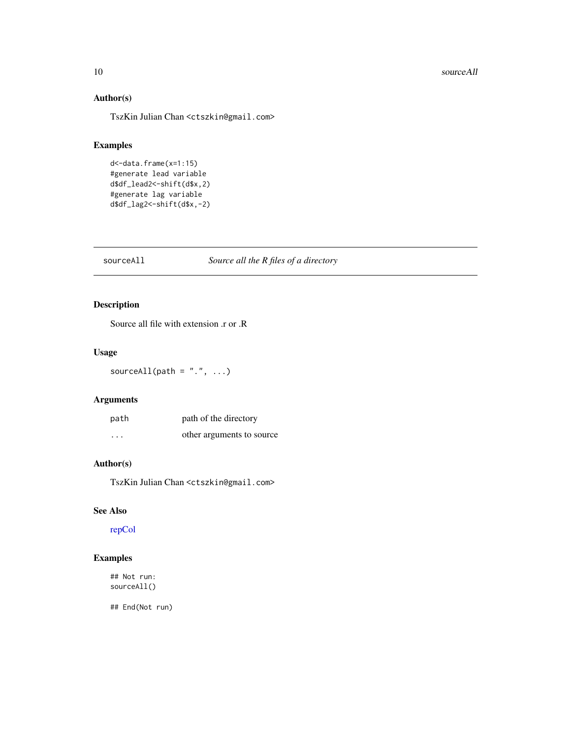#### <span id="page-9-0"></span>10 sourceAll

#### Author(s)

TszKin Julian Chan <ctszkin@gmail.com>

#### Examples

```
d<-data.frame(x=1:15)
#generate lead variable
d$df_lead2<-shift(d$x,2)
#generate lag variable
d$df_lag2<-shift(d$x,-2)
```
#### sourceAll *Source all the R files of a directory*

#### Description

Source all file with extension .r or .R

#### Usage

sourceAll(path =  $".".$ , ...)

#### Arguments

| path     | path of the directory     |
|----------|---------------------------|
| $\cdots$ | other arguments to source |

#### Author(s)

TszKin Julian Chan <ctszkin@gmail.com>

#### See Also

[repCol](#page-7-1)

#### Examples

## Not run: sourceAll()

## End(Not run)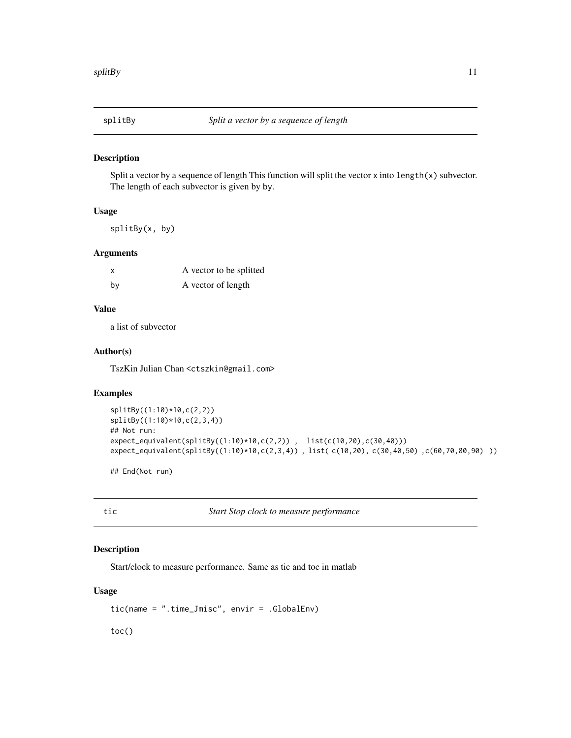<span id="page-10-0"></span>

#### Description

Split a vector by a sequence of length This function will split the vector x into  $\text{length}(x)$  subvector. The length of each subvector is given by by.

#### Usage

splitBy(x, by)

#### Arguments

| X  | A vector to be splitted |
|----|-------------------------|
| bv | A vector of length      |

#### Value

a list of subvector

#### Author(s)

TszKin Julian Chan <ctszkin@gmail.com>

#### Examples

```
splitBy((1:10)*10,c(2,2))
splitBy((1:10)*10,c(2,3,4))
## Not run:
expect_equivalent(splitBy((1:10)*10,c(2,2)) , list(c(10,20),c(30,40)))
expect_equivalent(splitBy((1:10)*10,c(2,3,4)) , list( c(10,20), c(30,40,50) ,c(60,70,80,90) ))
```
## End(Not run)

tic *Start Stop clock to measure performance*

#### Description

Start/clock to measure performance. Same as tic and toc in matlab

#### Usage

tic(name = ".time\_Jmisc", envir = .GlobalEnv)

toc()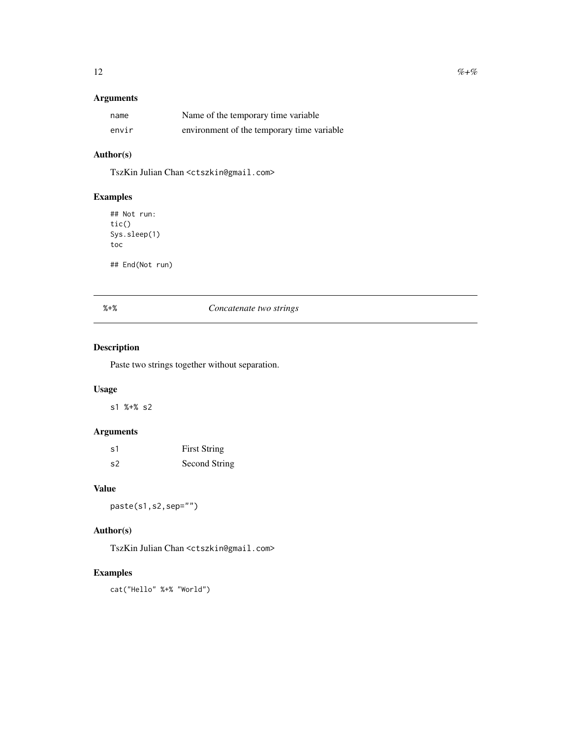### <span id="page-11-0"></span>Arguments

| name  | Name of the temporary time variable        |
|-------|--------------------------------------------|
| envir | environment of the temporary time variable |

#### Author(s)

TszKin Julian Chan <ctszkin@gmail.com>

#### Examples

## Not run: tic() Sys.sleep(1) toc

## End(Not run)

#### %+% *Concatenate two strings*

#### Description

Paste two strings together without separation.

#### Usage

s1 %+% s2

#### Arguments

| s1 | <b>First String</b> |
|----|---------------------|
| s2 | Second String       |

#### Value

paste(s1,s2,sep="")

#### Author(s)

TszKin Julian Chan <ctszkin@gmail.com>

#### Examples

cat("Hello" %+% "World")